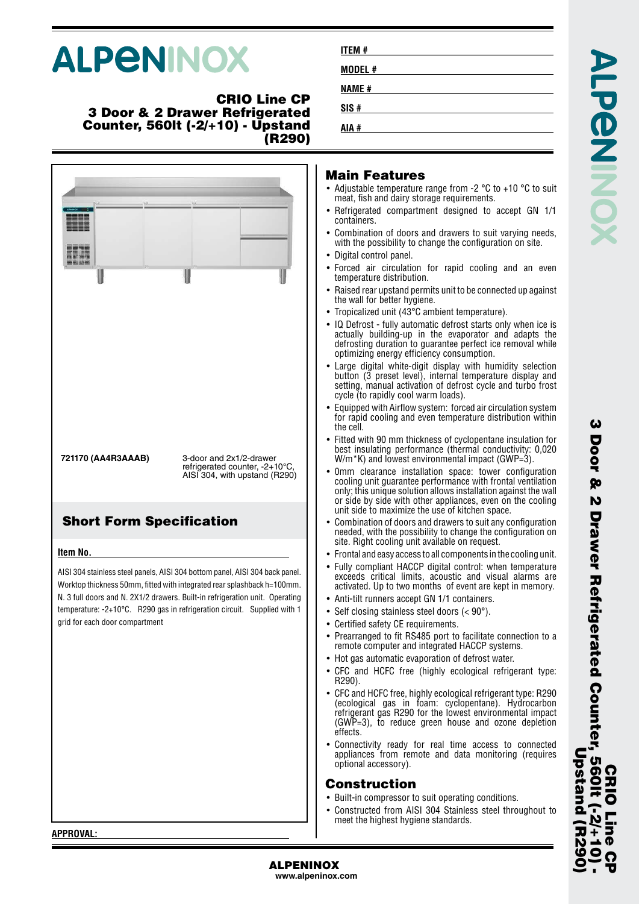# **ALPENINOX**

### **CRIO Line CP 3 Door & 2 Drawer Refrigerated Counter, 560lt (-2/+10) - Upstand (R290)**



**www.alpeninox.com**

**ITEM # MODEL # NAME # SIS # AIA #**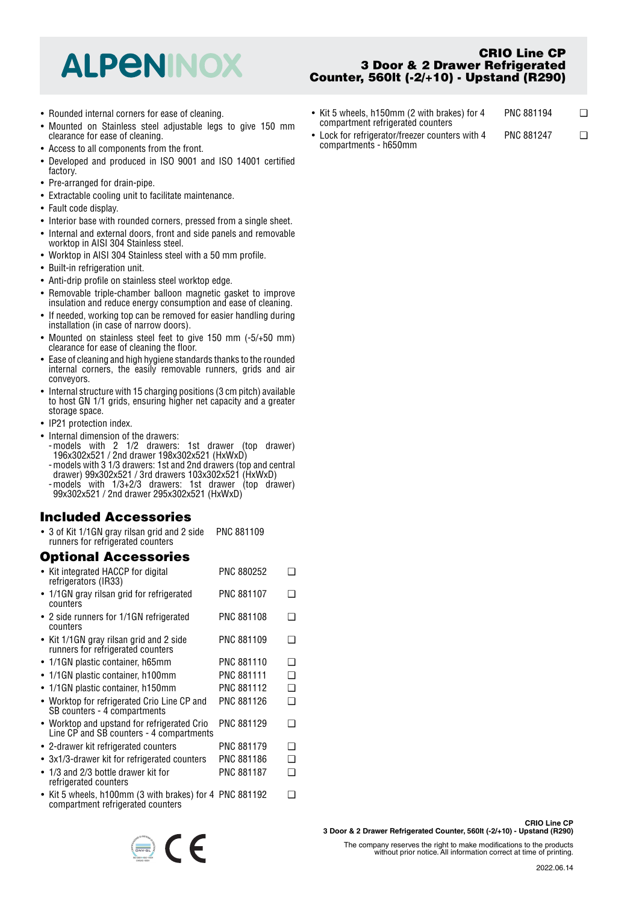## **ALPENINOX**

- Rounded internal corners for ease of cleaning.
- Mounted on Stainless steel adjustable legs to give 150 mm clearance for ease of cleaning.
- Access to all components from the front.
- Developed and produced in ISO 9001 and ISO 14001 certified factory.
- Pre-arranged for drain-pipe.
- Extractable cooling unit to facilitate maintenance.
- Fault code display.
- Interior base with rounded corners, pressed from a single sheet.
- Internal and external doors, front and side panels and removable worktop in AISI 304 Stainless steel.
- Worktop in AISI 304 Stainless steel with a 50 mm profile.
- Built-in refrigeration unit.
- Anti-drip profile on stainless steel worktop edge.
- Removable triple-chamber balloon magnetic gasket to improve insulation and reduce energy consumption and ease of cleaning.
- If needed, working top can be removed for easier handling during installation (in case of narrow doors).
- Mounted on stainless steel feet to give 150 mm (-5/+50 mm) clearance for ease of cleaning the floor.
- Ease of cleaning and high hygiene standards thanks to the rounded internal corners, the easily removable runners, grids and air conveyors.
- Internal structure with 15 charging positions (3 cm pitch) available to host GN 1/1 grids, ensuring higher net capacity and a greater storage space.
- IP21 protection index.
- Internal dimension of the drawers: -models with 2 1/2 drawers: 1st drawer (top drawer)
	- 196x302x521 / 2nd drawer 198x302x521 (HxWxD) -models with 3 1/3 drawers: 1st and 2nd drawers (top and central drawer) 99x302x521 / 3rd drawers 103x302x521 (HxWxD)
	- -models with 1/3+2/3 drawers: 1st drawer (top drawer) 99x302x521 / 2nd drawer 295x302x521 (HxWxD)

## **Included Accessories**

• 3 of Kit 1/1GN gray rilsan grid and 2 side runners for refrigerated counters PNC 881109

## **Optional Accessories**

| • Kit integrated HACCP for digital<br>refrigerators (IR33)                                   | <b>PNC 880252</b> |   |
|----------------------------------------------------------------------------------------------|-------------------|---|
| • 1/1GN gray rilsan grid for refrigerated<br>counters                                        | <b>PNC 881107</b> |   |
| $\bullet$ 2 side runners for 1/1GN refrigerated<br>counters                                  | PNC 881108        |   |
| • Kit 1/1GN gray rilsan grid and 2 side<br>runners for refrigerated counters                 | PNC 881109        |   |
| $\bullet$ 1/1GN plastic container, h65mm                                                     | <b>PNC 881110</b> | ∩ |
| • 1/1GN plastic container, h100mm                                                            | <b>PNC 881111</b> | ∩ |
| • 1/1GN plastic container, h150mm                                                            | <b>PNC 881112</b> | ∩ |
| • Worktop for refrigerated Crio Line CP and<br>SB counters - 4 compartments                  | <b>PNC 881126</b> | ∩ |
| • Worktop and upstand for refrigerated Crio<br>Line CP and SB counters - 4 compartments      | PNC 881129        |   |
| • 2-drawer kit refrigerated counters                                                         | <b>PNC 881179</b> | ∩ |
| $\bullet$ 3x1/3-drawer kit for refrigerated counters                                         | <b>PNC 881186</b> | n |
| $\bullet$ 1/3 and 2/3 bottle drawer kit for<br>refrigerated counters                         | <b>PNC 881187</b> | ∩ |
| • Kit 5 wheels, h100mm (3 with brakes) for 4 PNC 881192<br>compartment refrigerated counters |                   |   |



**3 Door & 2 Drawer Refrigerated Counter, 560lt (-2/+10) - Upstand (R290)**

**CRIO Line CP**

- Kit 5 wheels, h150mm (2 with brakes) for 4 compartment refrigerated counters PNC 881194 ❑
- Lock for refrigerator/freezer counters with 4 compartments - h650mm PNC 881247 ❑

The company reserves the right to make modifications to the products without prior notice. All information correct at time of printing.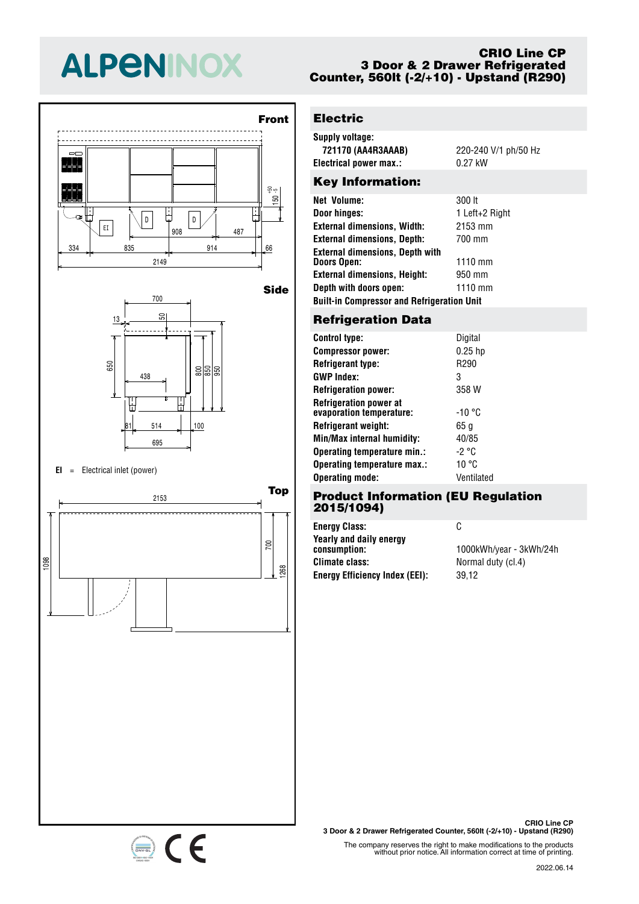# **ALPENINOX**





#### **EI** <sup>=</sup> Electrical inlet (power)

334 835 914 66 <sup>908</sup> <sup>487</sup> EI



### **CRIO Line CP 3 Door & 2 Drawer Refrigerated Counter, 560lt (-2/+10) - Upstand (R290)**

## **Electric**

| Supply voltage:        |                      |  |  |  |
|------------------------|----------------------|--|--|--|
| 721170 (AA4R3AAAB)     | 220-240 V/1 ph/50 Hz |  |  |  |
| Electrical power max.: | 0.27 kW              |  |  |  |
|                        |                      |  |  |  |

## Key Information:

| Net Volume:                                       | 300 lt         |  |  |  |
|---------------------------------------------------|----------------|--|--|--|
| Door hinges:                                      | 1 Left+2 Right |  |  |  |
| <b>External dimensions, Width:</b>                | 2153 mm        |  |  |  |
| <b>External dimensions, Depth:</b>                | 700 mm         |  |  |  |
| <b>External dimensions, Depth with</b>            |                |  |  |  |
| Doors Open:                                       | $1110$ mm      |  |  |  |
| <b>External dimensions, Height:</b>               | 950 mm         |  |  |  |
| Depth with doors open:                            | $1110$ mm      |  |  |  |
| <b>Built-in Compressor and Refrigeration Unit</b> |                |  |  |  |
|                                                   |                |  |  |  |

## 700 **Refrigeration Data**

| <b>Control type:</b>                                      | Digital    |
|-----------------------------------------------------------|------------|
| <b>Compressor power:</b>                                  | $0.25$ hp  |
| <b>Refrigerant type:</b>                                  | R290       |
| <b>GWP Index:</b>                                         | 3          |
| <b>Refrigeration power:</b>                               | 358 W      |
| <b>Refrigeration power at</b><br>evaporation temperature: | -10 °C     |
| Refrigerant weight:                                       | 65 g       |
| Min/Max internal humidity:                                | 40/85      |
| Operating temperature min.:                               | -2 °C      |
| Operating temperature max.:                               | 10 °C      |
| <b>Operating mode:</b>                                    | Ventilated |

## 700 **Product Information (EU Regulation** 50 **2015/1094)**

438 805 855 955 **Energy Efficiency Index (EEI):** 39,12 **Energy Class:** C **Yearly and daily energy Climate class:** Normal duty (cl.4)

**consumption:** 1000kWh/year - 3kWh/24h



The company reserves the right to make modifications to the products without prior notice. All information correct at time of printing.